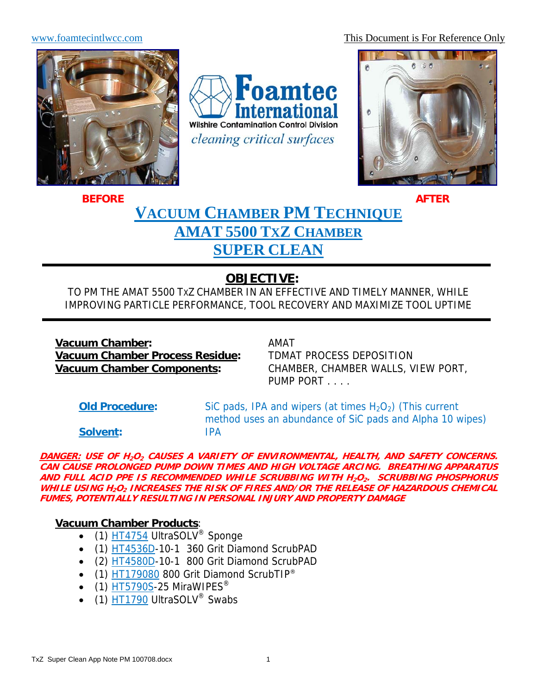www.foamtecintlwcc.com This Document is For Reference Only



Foamtec **ternational Wilshire Contamination Control Division** cleaning critical surfaces



# **VACUUM CHAMBER PM TECHNIQUE AMAT 5500 TXZ CHAMBER SUPER CLEAN BEFORE** AFTER

# **OBJECTIVE:**

TO PM THE AMAT 5500 TXZ CHAMBER IN AN EFFECTIVE AND TIMELY MANNER, WHILE IMPROVING PARTICLE PERFORMANCE, TOOL RECOVERY AND MAXIMIZE TOOL UPTIME

**Vacuum Chamber:** AMAT **Vacuum Chamber Process Residue:** TDMAT PROCESS DEPOSITION

**Vacuum Chamber Components:** CHAMBER, CHAMBER WALLS, VIEW PORT, PUMP PORT . . . .

**Old Procedure:** SiC pads, IPA and wipers (at times H<sub>2</sub>O<sub>2</sub>) (This current method uses an abundance of SiC pads and Alpha 10 wipes)

**Solvent:** IPA

**DANGER: USE OF H2O2 CAUSES A VARIETY OF ENVIRONMENTAL, HEALTH, AND SAFETY CONCERNS. CAN CAUSE PROLONGED PUMP DOWN TIMES AND HIGH VOLTAGE ARCING. BREATHING APPARATUS AND FULL ACID PPE IS RECOMMENDED WHILE SCRUBBING WITH H2O2. SCRUBBING PHOSPHORUS WHILE USING H2O2 INCREASES THE RISK OF FIRES AND/OR THE RELEASE OF HAZARDOUS CHEMICAL FUMES, POTENTIALLY RESULTING IN PERSONAL INJURY AND PROPERTY DAMAGE** 

## **Vacuum Chamber Products**:

- (1) HT4754 UltraSOLV<sup>®</sup> Sponge
- (1) HT4536D-10-1 360 Grit Diamond ScrubPAD
- (2) HT4580D-10-1 800 Grit Diamond ScrubPAD
- $\bullet$  (1) HT179080 800 Grit Diamond ScrubTIP®
- $\bullet$  (1) HT5790S-25 MiraWIPES<sup>®</sup>
- $\bullet$  (1)  $\overline{HT1790}$  UltraSOLV<sup>®</sup> Swabs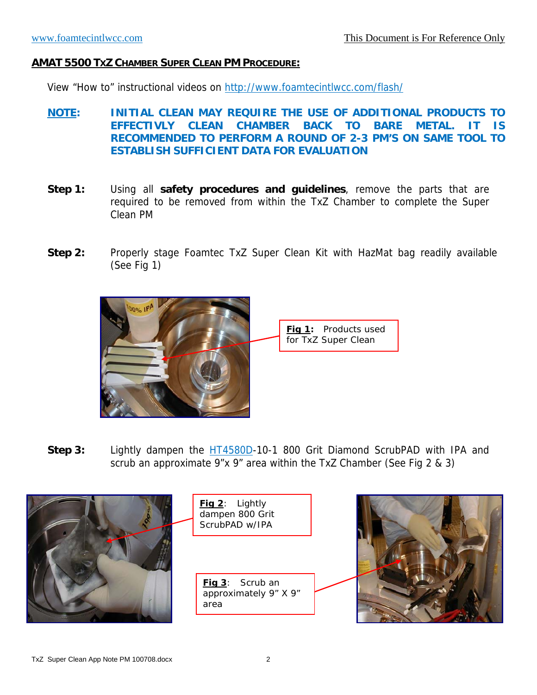#### **AMAT 5500 TXZ CHAMBER SUPER CLEAN PM PROCEDURE:**

View "How to" instructional videos on http://www.foamtecintlwcc.com/flash/

- **NOTE: INITIAL CLEAN MAY REQUIRE THE USE OF ADDITIONAL PRODUCTS TO EFFECTIVLY CLEAN CHAMBER BACK TO BARE METAL. IT IS RECOMMENDED TO PERFORM A ROUND OF 2-3 PM'S ON SAME TOOL TO ESTABLISH SUFFICIENT DATA FOR EVALUATION**
- **Step 1:** Using all **safety procedures and guidelines**, remove the parts that are required to be removed from within the TxZ Chamber to complete the Super Clean PM
- **Step 2:** Properly stage Foamtec TxZ Super Clean Kit with HazMat bag readily available (See Fig 1)



**Step 3:** Lightly dampen the HT4580D-10-1 800 Grit Diamond ScrubPAD with IPA and scrub an approximate 9"x 9" area within the TxZ Chamber (See Fig 2 & 3)

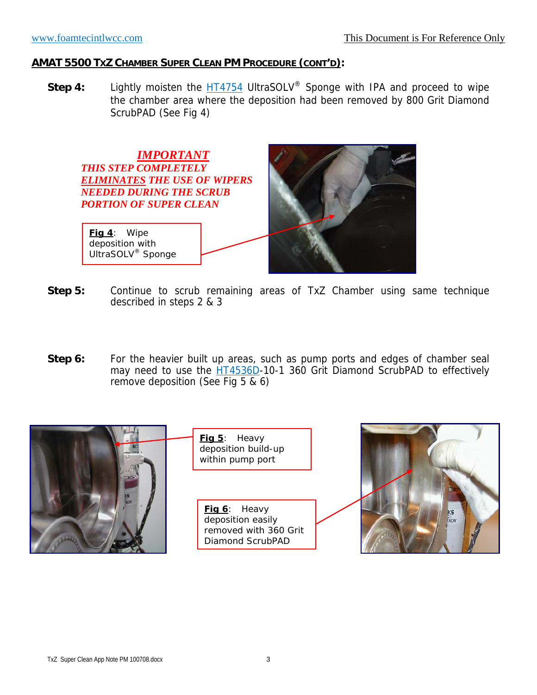### **AMAT 5500 TXZ CHAMBER SUPER CLEAN PM PROCEDURE (CONT'D):**

**Step 4:** Lightly moisten the **HT4754** UltraSOLV<sup>®</sup> Sponge with IPA and proceed to wipe the chamber area where the deposition had been removed by 800 Grit Diamond ScrubPAD (See Fig 4)



- **Step 5:** Continue to scrub remaining areas of TxZ Chamber using same technique described in steps 2 & 3
- **Step 6:** For the heavier built up areas, such as pump ports and edges of chamber seal may need to use the HT4536D-10-1 360 Grit Diamond ScrubPAD to effectively remove deposition (See Fig 5 & 6)

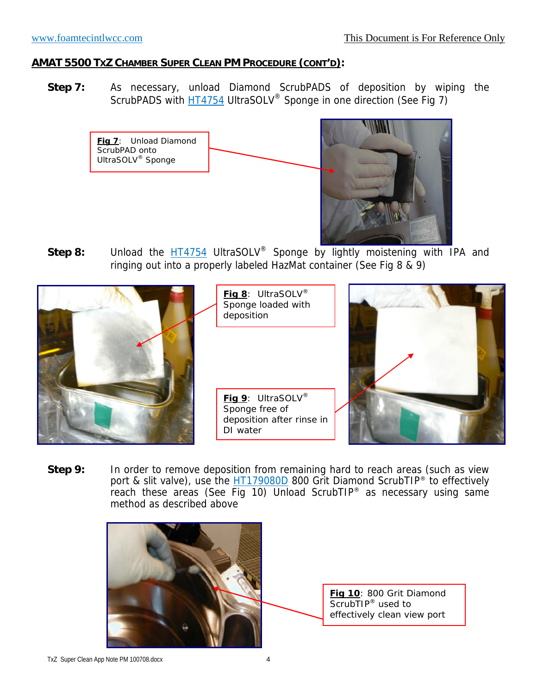#### **AMAT 5500 TXZ CHAMBER SUPER CLEAN PM PROCEDURE (CONT'D):**

**Step 7:** As necessary, unload Diamond ScrubPADS of deposition by wiping the ScrubPADS with **HT4754** UltraSOLV<sup>®</sup> Sponge in one direction (See Fig 7)





Step 8: Unload the **HT4754** UltraSOLV<sup>®</sup> Sponge by lightly moistening with IPA and ringing out into a properly labeled HazMat container (See Fig 8  $\&$  9)



**Fig 8**: UltraSOLV® Sponge loaded with deposition

**Fig 9**: UltraSOLV® Sponge free of deposition after rinse in DI water



**Step 9:** In order to remove deposition from remaining hard to reach areas (such as view port & slit valve), use the HT179080D 800 Grit Diamond ScrubTIP<sup>®</sup> to effectively reach these areas (See Fig 10) Unload ScrubTIP® as necessary using same method as described above